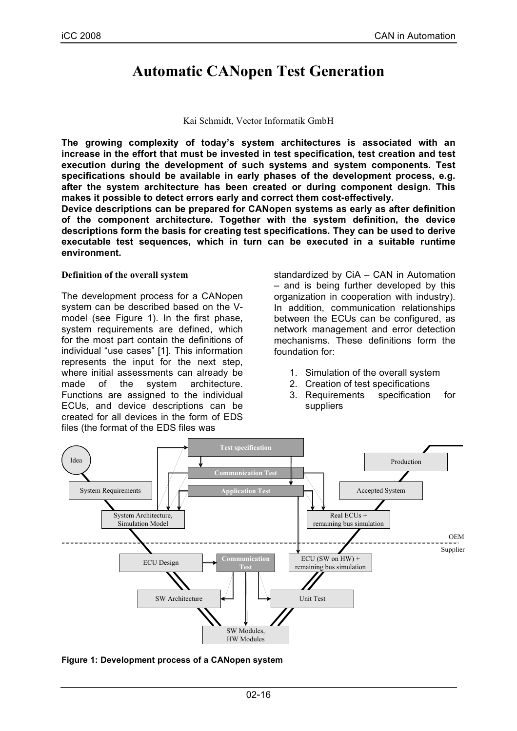# **Automatic CANopen Test Generation**

#### Kai Schmidt, Vector Informatik GmbH

**The growing complexity of today's system architectures is associated with an increase in the effort that must be invested in test specification, test creation and test execution during the development of such systems and system components. Test specifications should be available in early phases of the development process, e.g. after the system architecture has been created or during component design. This makes it possible to detect errors early and correct them cost-effectively.**

**Device descriptions can be prepared for CANopen systems as early as after definition of the component architecture. Together with the system definition, the device descriptions form the basis for creating test specifications. They can be used to derive executable test sequences, which in turn can be executed in a suitable runtime environment.**

#### **Definition of the overall system**

The development process for a CANopen system can be described based on the Vmodel (see Figure 1). In the first phase, system requirements are defined, which for the most part contain the definitions of individual "use cases" [1]. This information represents the input for the next step, where initial assessments can already be made of the system architecture. Functions are assigned to the individual ECUs, and device descriptions can be created for all devices in the form of EDS files (the format of the EDS files was

standardized by CiA – CAN in Automation – and is being further developed by this organization in cooperation with industry). In addition, communication relationships between the ECUs can be configured, as network management and error detection mechanisms. These definitions form the foundation for:

- 1. Simulation of the overall system
- 2. Creation of test specifications
- 3. Requirements specification for suppliers



**Figure 1: Development process of a CANopen system**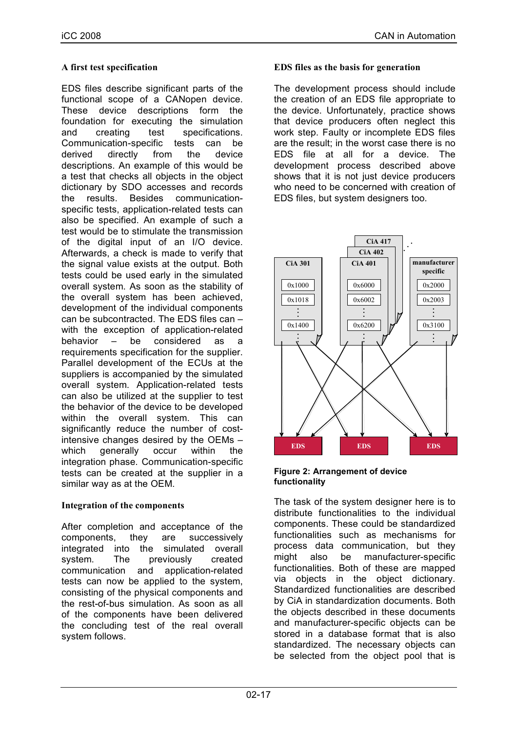## **A first test specification**

EDS files describe significant parts of the functional scope of a CANopen device. These device descriptions form the foundation for executing the simulation and creating test specifications. Communication-specific tests can be derived directly from the device descriptions. An example of this would be a test that checks all objects in the object dictionary by SDO accesses and records the results. Besides communicationspecific tests, application-related tests can also be specified. An example of such a test would be to stimulate the transmission of the digital input of an I/O device. Afterwards, a check is made to verify that the signal value exists at the output. Both tests could be used early in the simulated overall system. As soon as the stability of the overall system has been achieved, development of the individual components can be subcontracted. The EDS files can – with the exception of application-related behavior – be considered as a requirements specification for the supplier. Parallel development of the ECUs at the suppliers is accompanied by the simulated overall system. Application-related tests can also be utilized at the supplier to test the behavior of the device to be developed within the overall system. This can significantly reduce the number of costintensive changes desired by the OEMs – which generally occur within the integration phase. Communication-specific tests can be created at the supplier in a similar way as at the OEM.

# **Integration of the components**

After completion and acceptance of the components, they are successively integrated into the simulated overall system. The previously created communication and application-related tests can now be applied to the system, consisting of the physical components and the rest-of-bus simulation. As soon as all of the components have been delivered the concluding test of the real overall system follows.

## **EDS files as the basis for generation**

The development process should include the creation of an EDS file appropriate to the device. Unfortunately, practice shows that device producers often neglect this work step. Faulty or incomplete EDS files are the result; in the worst case there is no EDS file at all for a device. The development process described above shows that it is not just device producers who need to be concerned with creation of EDS files, but system designers too.



#### **Figure 2: Arrangement of device functionality**

The task of the system designer here is to distribute functionalities to the individual components. These could be standardized functionalities such as mechanisms for process data communication, but they might also be manufacturer-specific functionalities. Both of these are mapped via objects in the object dictionary. Standardized functionalities are described by CiA in standardization documents. Both the objects described in these documents and manufacturer-specific objects can be stored in a database format that is also standardized. The necessary objects can be selected from the object pool that is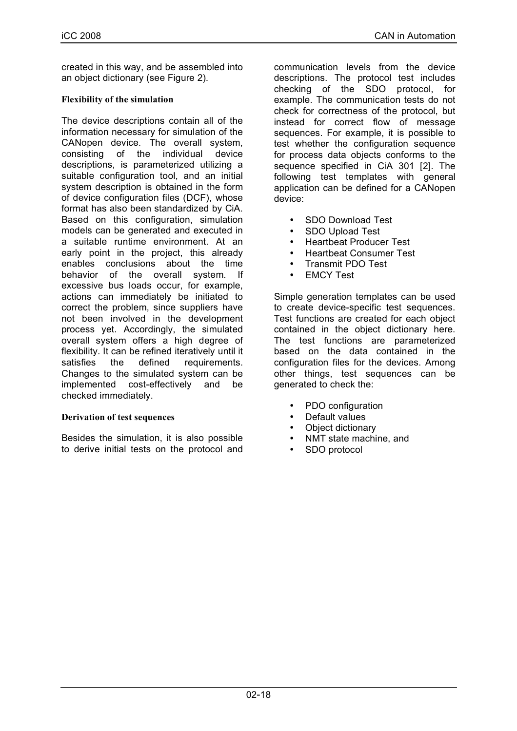created in this way, and be assembled into an object dictionary (see Figure 2).

## **Flexibility of the simulation**

The device descriptions contain all of the information necessary for simulation of the CANopen device. The overall system, consisting of the individual device descriptions, is parameterized utilizing a suitable configuration tool, and an initial system description is obtained in the form of device configuration files (DCF), whose format has also been standardized by CiA. Based on this configuration, simulation models can be generated and executed in a suitable runtime environment. At an early point in the project, this already enables conclusions about the time behavior of the overall system. If excessive bus loads occur, for example, actions can immediately be initiated to correct the problem, since suppliers have not been involved in the development process yet. Accordingly, the simulated overall system offers a high degree of flexibility. It can be refined iteratively until it satisfies the defined requirements. Changes to the simulated system can be implemented cost-effectively and be checked immediately.

## **Derivation of test sequences**

Besides the simulation, it is also possible to derive initial tests on the protocol and

communication levels from the device descriptions. The protocol test includes checking of the SDO protocol, for example. The communication tests do not check for correctness of the protocol, but instead for correct flow of message sequences. For example, it is possible to test whether the configuration sequence for process data objects conforms to the sequence specified in CiA 301 [2]. The following test templates with general application can be defined for a CANopen device:

- SDO Download Test
- SDO Upload Test
- Heartbeat Producer Test
- Heartbeat Consumer Test
- Transmit PDO Test
- **EMCY Test**

Simple generation templates can be used to create device-specific test sequences. Test functions are created for each object contained in the object dictionary here. The test functions are parameterized based on the data contained in the configuration files for the devices. Among other things, test sequences can be generated to check the:

- PDO configuration
- Default values
- Object dictionary
- NMT state machine, and
- SDO protocol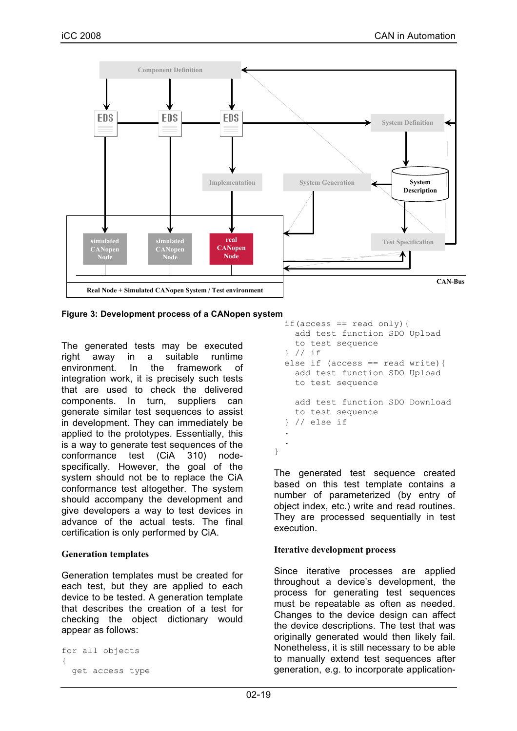

**Figure 3: Development process of a CANopen system**

The generated tests may be executed right away in a suitable runtime environment. In the framework of integration work, it is precisely such tests that are used to check the delivered components. In turn, suppliers can generate similar test sequences to assist in development. They can immediately be applied to the prototypes. Essentially, this is a way to generate test sequences of the conformance test (CiA 310) nodespecifically. However, the goal of the system should not be to replace the CiA conformance test altogether. The system should accompany the development and give developers a way to test devices in advance of the actual tests. The final certification is only performed by CiA.

# **Generation templates**

Generation templates must be created for each test, but they are applied to each device to be tested. A generation template that describes the creation of a test for checking the object dictionary would appear as follows:

```
for all objects
{
  get access type
```

```
if(access == read only){
    add test function SDO Upload
    to test sequence
  } // if
 else if (access == read write){
   add test function SDO Upload
    to test sequence
    add test function SDO Download
    to test sequence
  } // else if
  .
  .
}
```
The generated test sequence created based on this test template contains a number of parameterized (by entry of object index, etc.) write and read routines. They are processed sequentially in test execution.

# **Iterative development process**

Since iterative processes are applied throughout a device's development, the process for generating test sequences must be repeatable as often as needed. Changes to the device design can affect the device descriptions. The test that was originally generated would then likely fail. Nonetheless, it is still necessary to be able to manually extend test sequences after generation, e.g. to incorporate application-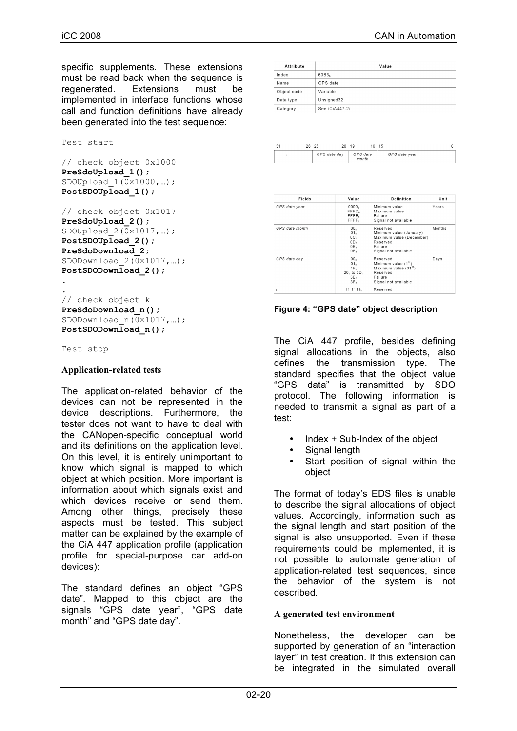specific supplements. These extensions must be read back when the sequence is regenerated. Extensions must be implemented in interface functions whose call and function definitions have already been generated into the test sequence:

```
Test start
```

```
// check object 0x1000
PreSdoUpload_1();
SDOUpload 1(\overline{0}x1000,...);PostSDOUpload_1();
```
// check object 0x1017 **PreSdoUpload\_2();** SDOUpload\_2(0x1017,…); **PostSDOUpload\_2(); PreSdoDownload\_2;** SDODownload  $2(\overline{0}x1017,\ldots);$ PostSDODownload 2(); . .

```
// check object k
PreSdoDownload_n();
SDODownload n(\overline{0}x1017,...);PostSDODownload_n();
```
Test stop

#### **Application-related tests**

The application-related behavior of the devices can not be represented in the device descriptions. Furthermore, the tester does not want to have to deal with the CANopen-specific conceptual world and its definitions on the application level. On this level, it is entirely unimportant to know which signal is mapped to which object at which position. More important is information about which signals exist and which devices receive or send them. Among other things, precisely these aspects must be tested. This subject matter can be explained by the example of the CiA 447 application profile (application profile for special-purpose car add-on devices):

The standard defines an object "GPS date". Mapped to this object are the signals "GPS date year", "GPS date month" and "GPS date day".

| Attribute   | Value             |  |  |  |  |  |
|-------------|-------------------|--|--|--|--|--|
| Index       | 60B3 <sub>h</sub> |  |  |  |  |  |
| Name        | GPS date          |  |  |  |  |  |
| Object code | Variable          |  |  |  |  |  |
| Data type   | Unsigned32        |  |  |  |  |  |
| Category    | See /CiA447-2/    |  |  |  |  |  |

| 3 <sup>1</sup> | 26 25        | 20 | - 19              | 16 | - 15 |               |  |
|----------------|--------------|----|-------------------|----|------|---------------|--|
|                | GPS date day |    | GPS date<br>month |    |      | GPS date year |  |

| Fields         | Value                                                                                                          | Definition                                                                                                            | Unit   |
|----------------|----------------------------------------------------------------------------------------------------------------|-----------------------------------------------------------------------------------------------------------------------|--------|
| GPS date year  | 0000 <sub>h</sub><br>FFFD <sub>b</sub><br>FFFE <sub>b</sub><br>FFFF <sub>b</sub>                               | Minimum value<br>Maximum value<br>Failure<br>Signal not available                                                     | Years  |
| GPS date month | 00 <sub>h</sub><br>01 <sub>b</sub><br>OC <sub>n</sub><br>OD <sub>b</sub><br>OE <sub>b</sub><br>OF <sub>h</sub> | Reserved<br>Minimum value (January)<br>Maximum value (December)<br>Reserved<br>Failure<br>Signal not available        | Months |
| GPS date day   | 00 <sub>h</sub><br>01 <sub>b</sub><br>$1F_h$<br>$20h$ to $3Dh$<br>3E <sub>h</sub><br>3F <sub>h</sub>           | Reserved<br>Minimum value $(1st)$<br>Maximum value (31 <sup>st</sup> )<br>Reserved<br>Failure<br>Signal not available | Days   |
| r              | 111111 <sub>b</sub>                                                                                            | Reserved                                                                                                              |        |

#### **Figure 4: "GPS date" object description**

The CiA 447 profile, besides defining signal allocations in the objects, also defines the transmission type. The standard specifies that the object value "GPS data" is transmitted by SDO protocol. The following information is needed to transmit a signal as part of a test:

- Index + Sub-Index of the object
- Signal length
- Start position of signal within the object

The format of today's EDS files is unable to describe the signal allocations of object values. Accordingly, information such as the signal length and start position of the signal is also unsupported. Even if these requirements could be implemented, it is not possible to automate generation of application-related test sequences, since the behavior of the system is not described.

## **A generated test environment**

Nonetheless, the developer can be supported by generation of an "interaction layer" in test creation. If this extension can be integrated in the simulated overall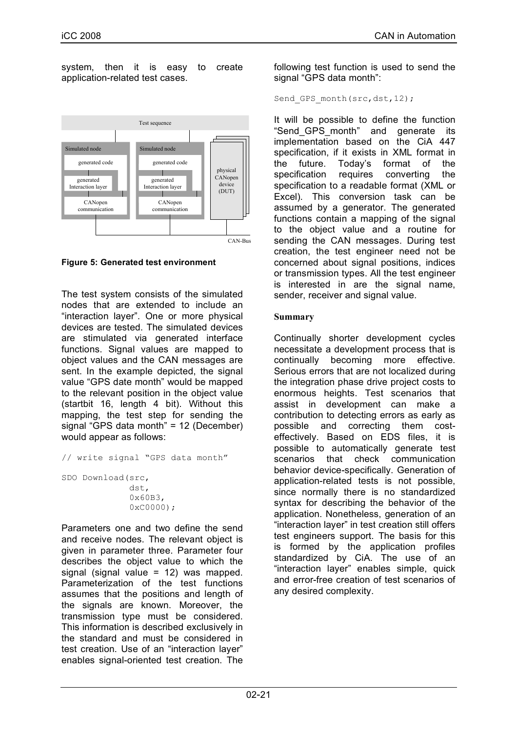system, then it is easy to create application-related test cases.



**Figure 5: Generated test environment**

The test system consists of the simulated nodes that are extended to include an "interaction layer". One or more physical devices are tested. The simulated devices are stimulated via generated interface functions. Signal values are mapped to object values and the CAN messages are sent. In the example depicted, the signal value "GPS date month" would be mapped to the relevant position in the object value (startbit 16, length 4 bit). Without this mapping, the test step for sending the signal "GPS data month" = 12 (December) would appear as follows:

// write signal "GPS data month"

SDO Download(src, dst, 0x60B3, 0xC0000);

Parameters one and two define the send and receive nodes. The relevant object is given in parameter three. Parameter four describes the object value to which the signal (signal value  $= 12$ ) was mapped. Parameterization of the test functions assumes that the positions and length of the signals are known. Moreover, the transmission type must be considered. This information is described exclusively in the standard and must be considered in test creation. Use of an "interaction layer" enables signal-oriented test creation. The

following test function is used to send the signal "GPS data month":

```
Send GPS month(src,dst,12);
```
It will be possible to define the function "Send\_GPS\_month" and generate its implementation based on the CiA 447 specification, if it exists in XML format in the future. Today's format of the specification requires converting the specification to a readable format (XML or Excel). This conversion task can be assumed by a generator. The generated functions contain a mapping of the signal to the object value and a routine for sending the CAN messages. During test creation, the test engineer need not be concerned about signal positions, indices or transmission types. All the test engineer is interested in are the signal name, sender, receiver and signal value.

## **Summary**

Continually shorter development cycles necessitate a development process that is continually becoming more effective. Serious errors that are not localized during the integration phase drive project costs to enormous heights. Test scenarios that assist in development can make a contribution to detecting errors as early as possible and correcting them costeffectively. Based on EDS files, it is possible to automatically generate test scenarios that check communication behavior device-specifically. Generation of application-related tests is not possible, since normally there is no standardized syntax for describing the behavior of the application. Nonetheless, generation of an "interaction layer" in test creation still offers test engineers support. The basis for this is formed by the application profiles standardized by CiA. The use of an "interaction layer" enables simple, quick and error-free creation of test scenarios of any desired complexity.